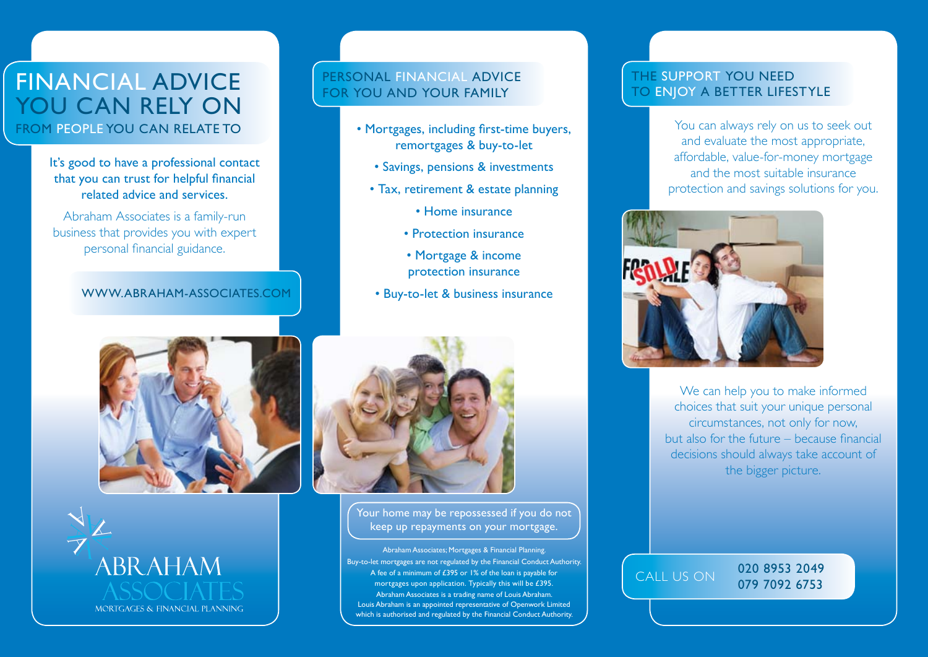# FINANCIAL ADVICE YOU CAN RELY ON FROM PEOPLE YOU CAN RELATE TO

It's good to have a professional contact that you can trust for helpful financial related advice and services.

Abraham Associates is a family-run business that provides you with expert personal financial guidance.

#### www.abraham-associates.com

## PERSONAL FINANCIAL ADVICE FOR YOU AND YOUR FAMILY

- Mortgages, including first-time buyers, remortgages & buy-to-let
	- Savings, pensions & investments
	- Tax, retirement & estate planning
		- Home insurance
		- Protection insurance
		- Mortgage & income protection insurance
	- Buy-to-let & business insurance







Your home may be repossessed if you do not keep up repayments on your mortgage.

Abraham Associates; Mortgages & Financial Planning. Buy-to-let mortgages are not regulated by the Financial Conduct Authority. A fee of a minimum of £395 or 1% of the loan is payable for mortgages upon application. Typically this will be £395. Abraham Associates is a trading name of Louis Abraham. Louis Abraham is an appointed representative of Openwork Limited which is authorised and regulated by the Financial Conduct Authority.

#### THE SUPPORT YOU NEED To ENJOY A BETTER LIFESTYLE

You can always rely on us to seek out and evaluate the most appropriate, affordable, value-for-money mortgage and the most suitable insurance protection and savings solutions for you.



We can help you to make informed choices that suit your unique personal circumstances, not only for now, but also for the future – because financial decisions should always take account of the bigger picture.

020 8953 2049

CALL US ON 020 8953 2049<br>079 7092 6753